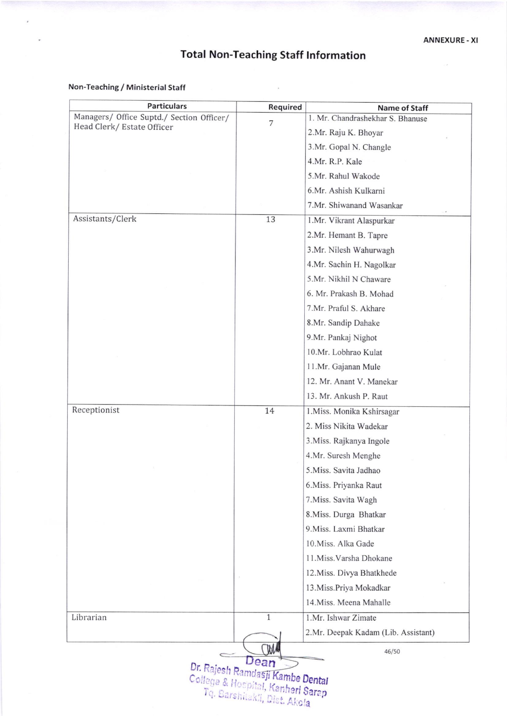## Total Non-Teaching Staff lnformation

 $\bar{\lambda}$ 

## Non-Teaching / Ministerial Staff

| <b>Particulars</b>                                                      | Required       | <b>Name of Staff</b>                |
|-------------------------------------------------------------------------|----------------|-------------------------------------|
| Managers/ Office Suptd./ Section Officer/<br>Head Clerk/ Estate Officer | $\overline{7}$ | 1. Mr. Chandrashekhar S. Bhanuse    |
|                                                                         |                | 2.Mr. Raju K. Bhoyar                |
|                                                                         |                | 3.Mr. Gopal N. Changle              |
|                                                                         |                | 4.Mr. R.P. Kale                     |
|                                                                         |                | 5.Mr. Rahul Wakode                  |
|                                                                         |                | 6.Mr. Ashish Kulkarni               |
|                                                                         |                | 7.Mr. Shiwanand Wasankar            |
| Assistants/Clerk                                                        | 13             | 1.Mr. Vikrant Alaspurkar            |
|                                                                         |                | 2.Mr. Hemant B. Tapre               |
|                                                                         |                | 3.Mr. Nilesh Wahurwagh              |
|                                                                         |                | 4.Mr. Sachin H. Nagolkar            |
|                                                                         |                | 5.Mr. Nikhil N Chaware              |
|                                                                         |                | 6. Mr. Prakash B. Mohad             |
|                                                                         |                | 7.Mr. Praful S. Akhare              |
|                                                                         |                | 8.Mr. Sandip Dahake                 |
|                                                                         |                | 9.Mr. Pankaj Nighot                 |
|                                                                         |                | 10.Mr. Lobhrao Kulat                |
|                                                                         |                | 11.Mr. Gajanan Mule                 |
|                                                                         |                | 12. Mr. Anant V. Manekar            |
|                                                                         |                | 13. Mr. Ankush P. Raut              |
| Receptionist                                                            | 14             | 1. Miss. Monika Kshirsagar          |
|                                                                         |                | 2. Miss Nikita Wadekar              |
|                                                                         |                | 3. Miss. Rajkanya Ingole            |
|                                                                         |                | 4.Mr. Suresh Menghe                 |
|                                                                         |                | 5. Miss. Savita Jadhao              |
|                                                                         |                | 6. Miss. Priyanka Raut              |
|                                                                         |                | 7. Miss. Savita Wagh                |
|                                                                         |                | 8. Miss. Durga Bhatkar              |
|                                                                         |                | 9. Miss. Laxmi Bhatkar              |
|                                                                         |                | 10. Miss. Alka Gade                 |
|                                                                         |                | 11. Miss. Varsha Dhokane            |
|                                                                         |                | 12. Miss. Divya Bhatkhede           |
|                                                                         |                | 13. Miss. Priya Mokadkar            |
|                                                                         |                | 14. Miss. Meena Mahalle             |
| Librarian                                                               | $\mathbf{1}$   | 1.Mr. Ishwar Zimate                 |
|                                                                         |                | 2.Mr. Deepak Kadam (Lib. Assistant) |
|                                                                         |                |                                     |
|                                                                         | Dean           | 46/50                               |

.la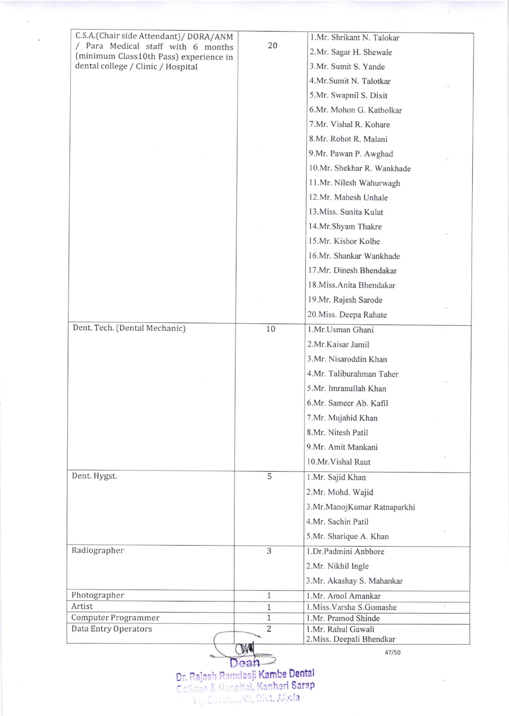|                                                                               |                                | 2. Miss. Deepali Bhendkar                 |
|-------------------------------------------------------------------------------|--------------------------------|-------------------------------------------|
| Computer Programmer<br>Data Entry Operators                                   | $\mathbf{1}$<br>$\overline{2}$ | 1.Mr. Pramod Shinde<br>1.Mr. Rahul Gawali |
| Artist                                                                        | $\mathbf{1}$                   | 1.Miss.Varsha S.Gomashe<br>. 2            |
| Photographer                                                                  | $\mathbf{1}$                   | 1.Mr. Amol Amankar                        |
|                                                                               |                                | 3.Mr. Akashay S. Mahankar                 |
|                                                                               |                                | 2.Mr. Nikhil Ingle                        |
| Radiographer                                                                  | 3                              | 1.Dr.Padmini Anbhore                      |
|                                                                               |                                | 5.Mr. Sharique A. Khan                    |
|                                                                               |                                | 4.Mr. Sachin Patil                        |
|                                                                               |                                | 3.Mr.ManojKumar Ratnaparkhi               |
|                                                                               |                                | 2.Mr. Mohd. Wajid                         |
| Dent. Hygst.                                                                  | 5                              | 1.Mr. Sajid Khan                          |
|                                                                               |                                | 10.Mr. Vishal Raut                        |
|                                                                               |                                | 9.Mr. Amit Mankani                        |
|                                                                               |                                | 8.Mr. Nitesh Patil                        |
|                                                                               |                                | 7.Mr. Mujahid Khan                        |
|                                                                               |                                | 6.Mr. Sameer Ab. Kafil                    |
|                                                                               |                                | 5.Mr. Imranullah Khan                     |
|                                                                               |                                | 4.Mr. Taliburahman Taher                  |
|                                                                               |                                | 3.Mr. Nisaroddin Khan                     |
|                                                                               |                                | 2.Mr.Kaisar Jamil                         |
| Dent. Tech. (Dental Mechanic)                                                 | 10                             | 1.Mr.Usman Ghani                          |
|                                                                               |                                | 20. Miss. Deepa Rahate                    |
|                                                                               |                                | 19.Mr. Rajesh Sarode                      |
|                                                                               |                                | 18. Miss. Anita Bhendakar                 |
|                                                                               |                                | 17.Mr. Dinesh Bhendakar                   |
|                                                                               |                                | 16.Mr. Shankar Wankhade                   |
|                                                                               |                                | 15.Mr. Kishor Kolhe                       |
|                                                                               |                                | 14.Mr.Shyam Thakre                        |
|                                                                               |                                | 13. Miss. Sunita Kulat                    |
|                                                                               |                                | 12.Mr. Mahesh Unhale                      |
|                                                                               |                                | 11.Mr. Nilesh Wahurwagh                   |
|                                                                               |                                | 10.Mr. Shekhar R. Wankhade                |
|                                                                               |                                | 9.Mr. Pawan P. Awghad                     |
|                                                                               |                                | 8.Mr. Rohot R. Malani                     |
|                                                                               |                                | 7.Mr. Vishal R. Kohare                    |
|                                                                               |                                | 6.Mr. Mohon G. Katholkar                  |
|                                                                               |                                | 5.Mr. Swapnil S. Dixit                    |
|                                                                               |                                | 4.Mr.Sumit N. Talotkar                    |
| dental college / Clinic / Hospital                                            |                                | 3.Mr. Sumit S. Yande                      |
| (minimum Class10th Pass) experience in                                        |                                | 2.Mr. Sagar H. Shewale                    |
| C.S.A.(Chair side Attendant) / DORA/ANM<br>/ Para Medical staff with 6 months | 20                             | 1.Mr. Shrikant N. Talokar                 |

Dr. Rajesh Ramdasji <mark>Kambe Dental</mark><br>College & Hospital, Kanher**i Sarap**  $| \cdot \text{e} |$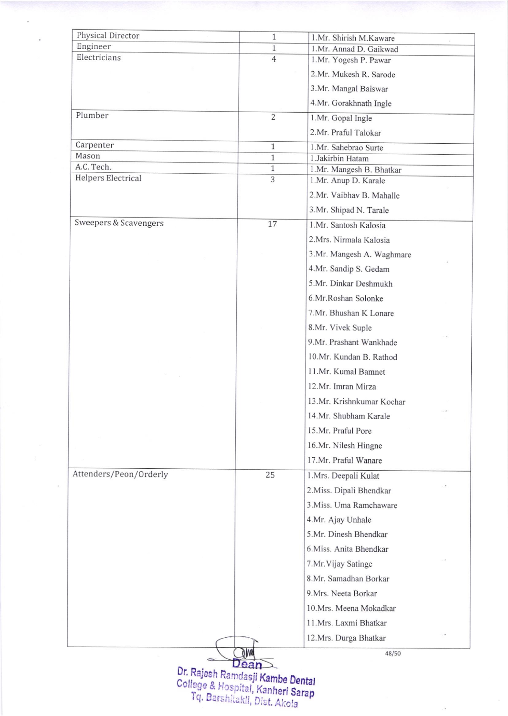| 1.Mr. Annad D. Gaikwad<br>1.Mr. Yogesh P. Pawar<br>2.Mr. Mukesh R. Sarode<br>3.Mr. Mangal Baiswar<br>4.Mr. Gorakhnath Ingle<br>1.Mr. Gopal Ingle<br>2.Mr. Praful Talokar<br>1.Mr. Sahebrao Surte<br>1.Jakirbin Hatam<br>1.Mr. Mangesh B. Bhatkar<br>1.Mr. Anup D. Karale<br>2.Mr. Vaibhav B. Mahalle<br>3.Mr. Shipad N. Tarale<br>1.Mr. Santosh Kalosia<br>2.Mrs. Nirmala Kalosia<br>3.Mr. Mangesh A. Waghmare<br>4.Mr. Sandip S. Gedam<br>5.Mr. Dinkar Deshmukh<br>6.Mr.Roshan Solonke<br>7.Mr. Bhushan K Lonare<br>8.Mr. Vivek Suple |
|----------------------------------------------------------------------------------------------------------------------------------------------------------------------------------------------------------------------------------------------------------------------------------------------------------------------------------------------------------------------------------------------------------------------------------------------------------------------------------------------------------------------------------------|
|                                                                                                                                                                                                                                                                                                                                                                                                                                                                                                                                        |
|                                                                                                                                                                                                                                                                                                                                                                                                                                                                                                                                        |
|                                                                                                                                                                                                                                                                                                                                                                                                                                                                                                                                        |
|                                                                                                                                                                                                                                                                                                                                                                                                                                                                                                                                        |
|                                                                                                                                                                                                                                                                                                                                                                                                                                                                                                                                        |
|                                                                                                                                                                                                                                                                                                                                                                                                                                                                                                                                        |
|                                                                                                                                                                                                                                                                                                                                                                                                                                                                                                                                        |
|                                                                                                                                                                                                                                                                                                                                                                                                                                                                                                                                        |
|                                                                                                                                                                                                                                                                                                                                                                                                                                                                                                                                        |
|                                                                                                                                                                                                                                                                                                                                                                                                                                                                                                                                        |
|                                                                                                                                                                                                                                                                                                                                                                                                                                                                                                                                        |
|                                                                                                                                                                                                                                                                                                                                                                                                                                                                                                                                        |
|                                                                                                                                                                                                                                                                                                                                                                                                                                                                                                                                        |
|                                                                                                                                                                                                                                                                                                                                                                                                                                                                                                                                        |
|                                                                                                                                                                                                                                                                                                                                                                                                                                                                                                                                        |
|                                                                                                                                                                                                                                                                                                                                                                                                                                                                                                                                        |
|                                                                                                                                                                                                                                                                                                                                                                                                                                                                                                                                        |
|                                                                                                                                                                                                                                                                                                                                                                                                                                                                                                                                        |
|                                                                                                                                                                                                                                                                                                                                                                                                                                                                                                                                        |
|                                                                                                                                                                                                                                                                                                                                                                                                                                                                                                                                        |
|                                                                                                                                                                                                                                                                                                                                                                                                                                                                                                                                        |
| 9.Mr. Prashant Wankhade                                                                                                                                                                                                                                                                                                                                                                                                                                                                                                                |
| 10.Mr. Kundan B. Rathod                                                                                                                                                                                                                                                                                                                                                                                                                                                                                                                |
| 11.Mr. Kumal Bamnet                                                                                                                                                                                                                                                                                                                                                                                                                                                                                                                    |
| 12.Mr. Imran Mirza                                                                                                                                                                                                                                                                                                                                                                                                                                                                                                                     |
| 13.Mr. Krishnkumar Kochar                                                                                                                                                                                                                                                                                                                                                                                                                                                                                                              |
| 14.Mr. Shubham Karale                                                                                                                                                                                                                                                                                                                                                                                                                                                                                                                  |
| 15.Mr. Praful Pore                                                                                                                                                                                                                                                                                                                                                                                                                                                                                                                     |
| 16.Mr. Nilesh Hingne                                                                                                                                                                                                                                                                                                                                                                                                                                                                                                                   |
| 17.Mr. Praful Wanare                                                                                                                                                                                                                                                                                                                                                                                                                                                                                                                   |
| 1.Mrs. Deepali Kulat                                                                                                                                                                                                                                                                                                                                                                                                                                                                                                                   |
| 2. Miss. Dipali Bhendkar                                                                                                                                                                                                                                                                                                                                                                                                                                                                                                               |
| 3. Miss. Uma Ramchaware                                                                                                                                                                                                                                                                                                                                                                                                                                                                                                                |
| 4.Mr. Ajay Unhale                                                                                                                                                                                                                                                                                                                                                                                                                                                                                                                      |
| 5.Mr. Dinesh Bhendkar                                                                                                                                                                                                                                                                                                                                                                                                                                                                                                                  |
| 6. Miss. Anita Bhendkar                                                                                                                                                                                                                                                                                                                                                                                                                                                                                                                |
| 7.Mr. Vijay Satinge                                                                                                                                                                                                                                                                                                                                                                                                                                                                                                                    |
| 8.Mr. Samadhan Borkar                                                                                                                                                                                                                                                                                                                                                                                                                                                                                                                  |
| 9. Mrs. Neeta Borkar                                                                                                                                                                                                                                                                                                                                                                                                                                                                                                                   |
| 10.Mrs. Meena Mokadkar                                                                                                                                                                                                                                                                                                                                                                                                                                                                                                                 |
| 11.Mrs. Laxmi Bhatkar                                                                                                                                                                                                                                                                                                                                                                                                                                                                                                                  |
| 12.Mrs. Durga Bhatkar                                                                                                                                                                                                                                                                                                                                                                                                                                                                                                                  |
|                                                                                                                                                                                                                                                                                                                                                                                                                                                                                                                                        |
| 48/50                                                                                                                                                                                                                                                                                                                                                                                                                                                                                                                                  |
| Dr. Rajesh Ramdasji Kambe Dental                                                                                                                                                                                                                                                                                                                                                                                                                                                                                                       |
| College & Hospital, Kanheri Sarap                                                                                                                                                                                                                                                                                                                                                                                                                                                                                                      |
|                                                                                                                                                                                                                                                                                                                                                                                                                                                                                                                                        |

 $\sim$ 

l,